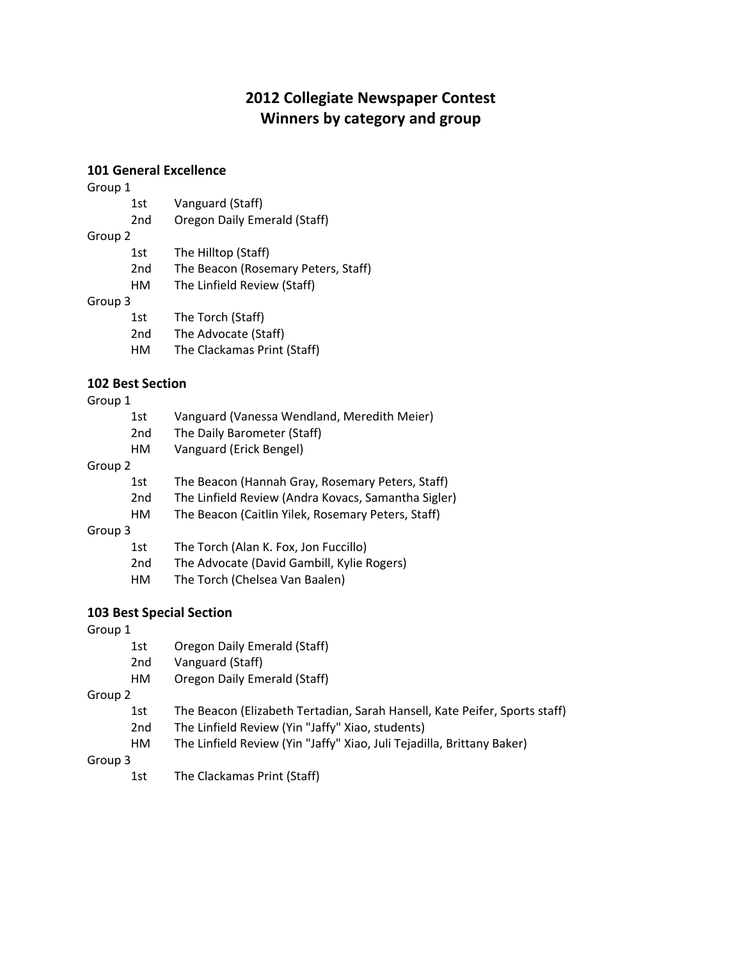# **2012 Collegiate Newspaper Contest Winners by category and group**

## **101 General Excellence**

| Group 1 |                 |                                     |
|---------|-----------------|-------------------------------------|
|         | 1st             | Vanguard (Staff)                    |
|         | 2 <sub>nd</sub> | Oregon Daily Emerald (Staff)        |
| Group 2 |                 |                                     |
|         | 1st             | The Hilltop (Staff)                 |
|         | 2nd             | The Beacon (Rosemary Peters, Staff) |
|         | НΜ              | The Linfield Review (Staff)         |
| Group 3 |                 |                                     |
|         | 1st             | The Torch (Staff)                   |
|         | 2nd             | The Advocate (Staff)                |
|         | нм              | The Clackamas Print (Staff)         |

## **102 Best Section**

#### Group 1

|         | 1st             | Vanguard (Vanessa Wendland, Meredith Meier)         |
|---------|-----------------|-----------------------------------------------------|
|         | 2 <sub>nd</sub> | The Daily Barometer (Staff)                         |
|         | HМ              | Vanguard (Erick Bengel)                             |
| Group 2 |                 |                                                     |
|         | 1st             | The Beacon (Hannah Gray, Rosemary Peters, Staff)    |
|         | 2 <sub>nd</sub> | The Linfield Review (Andra Kovacs, Samantha Sigler) |
|         | HМ              | The Beacon (Caitlin Yilek, Rosemary Peters, Staff)  |
| Group 3 |                 |                                                     |
|         | 1st             | The Torch (Alan K. Fox, Jon Fuccillo)               |

# 2nd The Advocate (David Gambill, Kylie Rogers)

HM The Torch (Chelsea Van Baalen)

## **103 Best Special Section**

#### Group 1

| ____ |     |                              |
|------|-----|------------------------------|
|      | 1st | Oregon Daily Emerald (Staff) |
|      | 2nd | Vanguard (Staff)             |

HM Oregon Daily Emerald (Staff)

Group 2

- 1st The Beacon (Elizabeth Tertadian, Sarah Hansell, Kate Peifer, Sports staff)
- 2nd The Linfield Review (Yin "Jaffy" Xiao, students)
- HM The Linfield Review (Yin "Jaffy" Xiao, Juli Tejadilla, Brittany Baker)

Group 3

1st The Clackamas Print (Staff)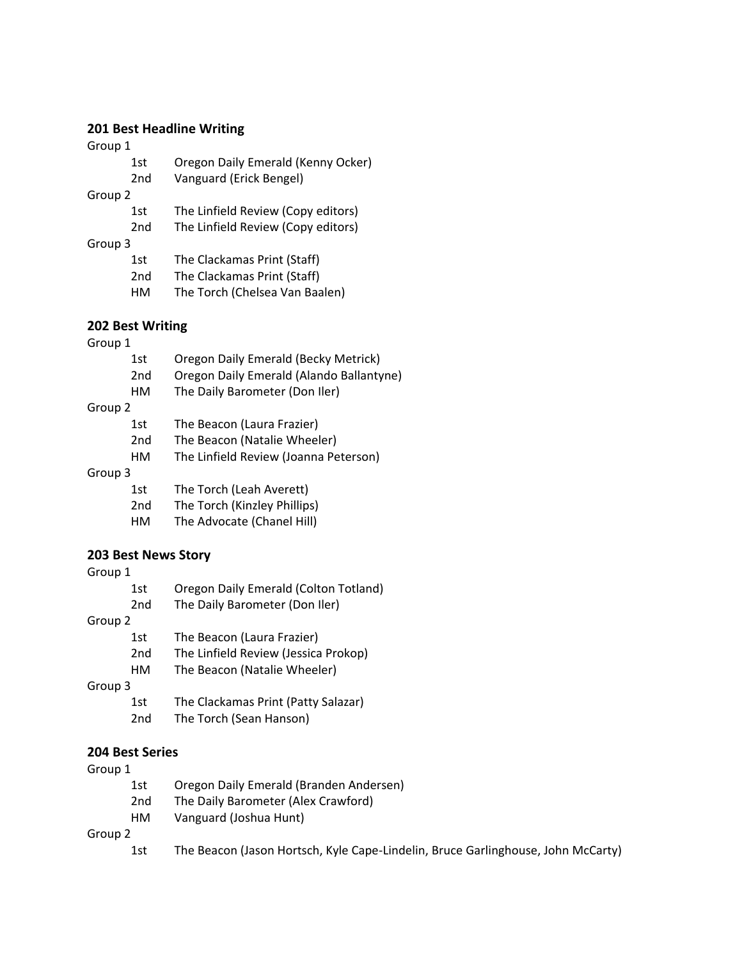## **201 Best Headline Writing**

Group 1

- 1st Oregon Daily Emerald (Kenny Ocker)
- 2nd Vanguard (Erick Bengel)

Group 2

- 1st The Linfield Review (Copy editors)
- 2nd The Linfield Review (Copy editors)
- Group 3
	- 1st The Clackamas Print (Staff)
	- 2nd The Clackamas Print (Staff)
	- HM The Torch (Chelsea Van Baalen)

## **202 Best Writing**

#### Group 1

|         | 1st             | Oregon Daily Emerald (Becky Metrick)     |
|---------|-----------------|------------------------------------------|
|         | 2 <sub>nd</sub> | Oregon Daily Emerald (Alando Ballantyne) |
|         | HМ              | The Daily Barometer (Don Iler)           |
| Group 2 |                 |                                          |
|         | 1st             | The Beacon (Laura Frazier)               |
|         | 2 <sub>nd</sub> | The Beacon (Natalie Wheeler)             |
|         | HМ              | The Linfield Review (Joanna Peterson)    |
| Group 3 |                 |                                          |
|         | 1st             | The Torch (Leah Averett)                 |
|         | 2 <sub>nd</sub> | The Torch (Kinzley Phillips)             |
|         | HМ              | The Advocate (Chanel Hill)               |
|         |                 |                                          |

## **203 Best News Story**

| Group 1 |                 |                                       |
|---------|-----------------|---------------------------------------|
|         | 1st             | Oregon Daily Emerald (Colton Totland) |
|         | 2 <sub>nd</sub> | The Daily Barometer (Don Iler)        |
| Group 2 |                 |                                       |
|         | 1st             | The Beacon (Laura Frazier)            |
|         | 2 <sub>nd</sub> | The Linfield Review (Jessica Prokop)  |
|         | HМ              | The Beacon (Natalie Wheeler)          |
| Group 3 |                 |                                       |
|         | 1st             | The Clackamas Print (Patty Salazar)   |
|         | 2nd             | The Torch (Sean Hanson)               |

## **204 Best Series**

#### Group 1

- 1st Oregon Daily Emerald (Branden Andersen)
- 2nd The Daily Barometer (Alex Crawford)
- HM Vanguard (Joshua Hunt)

Group 2

1st The Beacon (Jason Hortsch, Kyle Cape-Lindelin, Bruce Garlinghouse, John McCarty)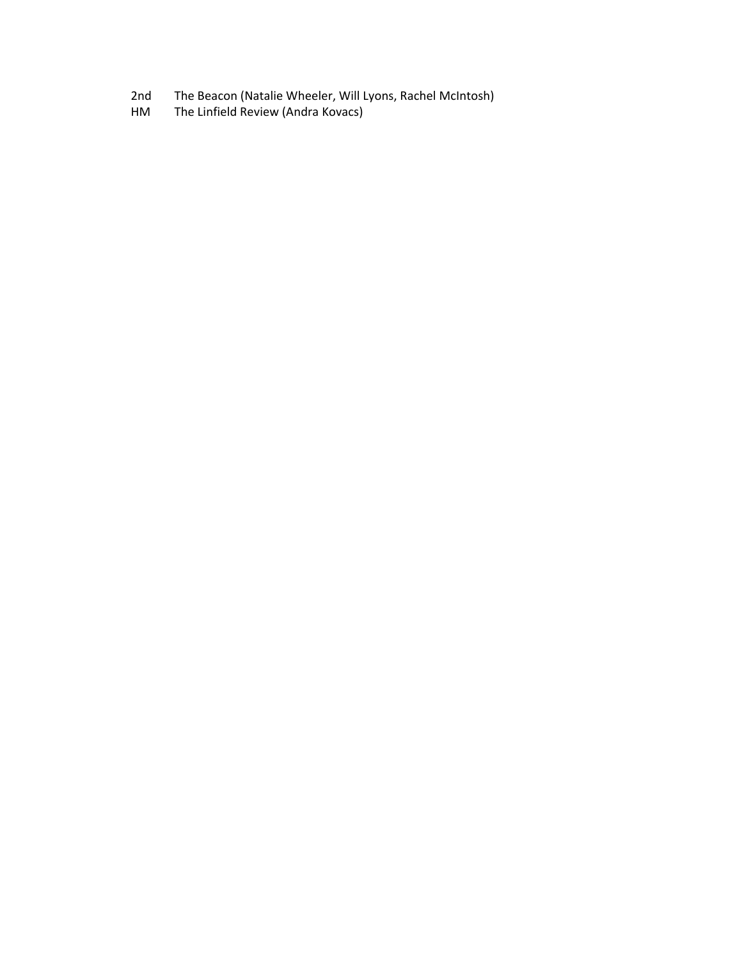- 2nd The Beacon (Natalie Wheeler, Will Lyons, Rachel McIntosh)<br>HM The Linfield Review (Andra Kovacs)
- The Linfield Review (Andra Kovacs)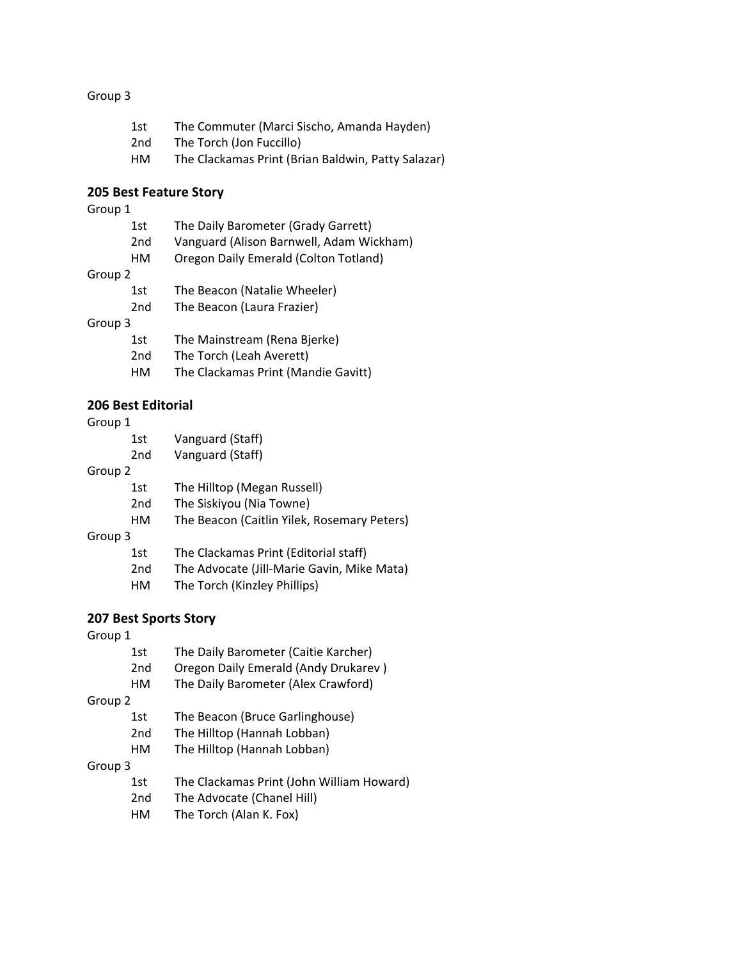# Group 3

| 1st. | The Commuter (Marci Sischo, Amanda Hayden)         |
|------|----------------------------------------------------|
| 2nd  | The Torch (Jon Fuccillo)                           |
| нм   | The Clackamas Print (Brian Baldwin, Patty Salazar) |

## **205 Best Feature Story**

## Group 1

|         | 1st             | The Daily Barometer (Grady Garrett)      |
|---------|-----------------|------------------------------------------|
|         | 2 <sub>nd</sub> | Vanguard (Alison Barnwell, Adam Wickham) |
|         | НΜ              | Oregon Daily Emerald (Colton Totland)    |
| Group 2 |                 |                                          |
|         | 1st             | The Beacon (Natalie Wheeler)             |
|         | 2 <sub>nd</sub> | The Beacon (Laura Frazier)               |
| Group 3 |                 |                                          |
|         | 1st             | The Mainstream (Rena Bjerke)             |
|         | 2nd             | The Torch (Leah Averett)                 |
|         | НΜ              | The Clackamas Print (Mandie Gavitt)      |

#### **206 Best Editorial**

#### Group 1

| 1st | Vanguard (Staff) |
|-----|------------------|
| 2nd | Vanguard (Staff) |

#### Group 2

| 1st | The Hilltop (Megan Russell) |
|-----|-----------------------------|
|-----|-----------------------------|

- 2nd The Siskiyou (Nia Towne)
- HM The Beacon (Caitlin Yilek, Rosemary Peters)

#### Group 3

- 1st The Clackamas Print (Editorial staff)
- 2nd The Advocate (Jill-Marie Gavin, Mike Mata)
- HM The Torch (Kinzley Phillips)

## **207 Best Sports Story**

## Group 1

| 1st             | The Daily Barometer (Caitie Karcher)      |  |
|-----------------|-------------------------------------------|--|
| 2 <sub>nd</sub> | Oregon Daily Emerald (Andy Drukarev)      |  |
| HМ              | The Daily Barometer (Alex Crawford)       |  |
|                 |                                           |  |
| 1st             | The Beacon (Bruce Garlinghouse)           |  |
| 2 <sub>nd</sub> | The Hilltop (Hannah Lobban)               |  |
| HМ              | The Hilltop (Hannah Lobban)               |  |
| Group 3         |                                           |  |
| 1st             | The Clackamas Print (John William Howard) |  |
| 2 <sub>nd</sub> | The Advocate (Chanel Hill)                |  |
| HМ              | The Torch (Alan K. Fox)                   |  |
|                 |                                           |  |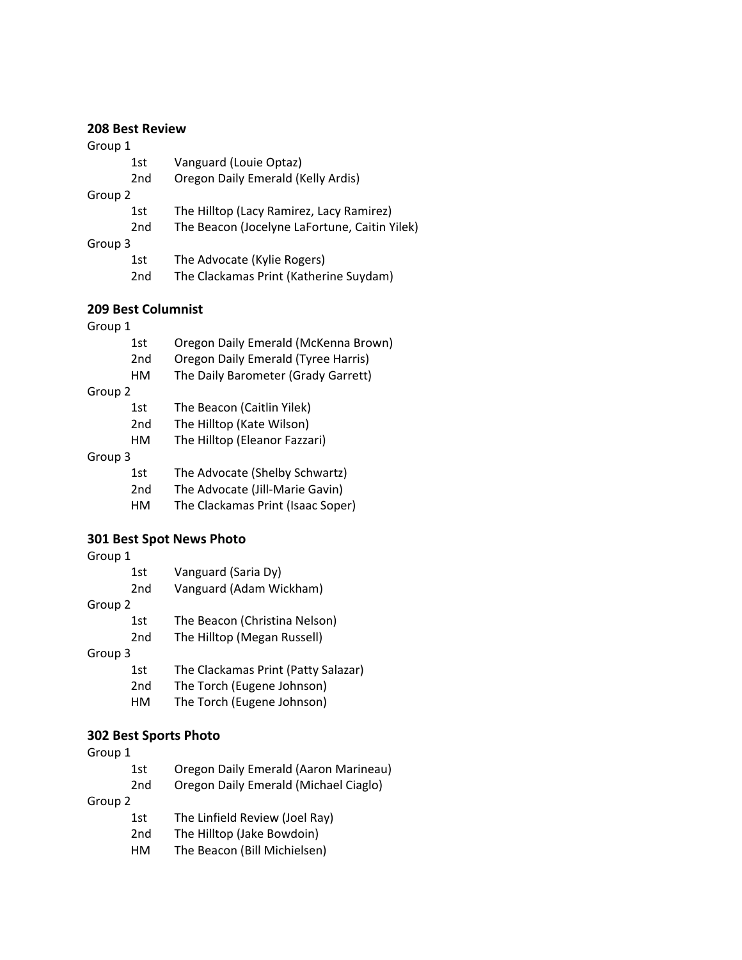## **208 Best Review**

#### Group 1

- 1st Vanguard (Louie Optaz)
- 2nd Oregon Daily Emerald (Kelly Ardis)

#### Group 2

- 1st The Hilltop (Lacy Ramirez, Lacy Ramirez)
- 2nd The Beacon (Jocelyne LaFortune, Caitin Yilek)
- Group 3
	- 1st The Advocate (Kylie Rogers)
	- 2nd The Clackamas Print (Katherine Suydam)

## **209 Best Columnist**

Group 1

|         | 1st             | Oregon Daily Emerald (McKenna Brown) |
|---------|-----------------|--------------------------------------|
|         | 2 <sub>nd</sub> | Oregon Daily Emerald (Tyree Harris)  |
|         | НΜ              | The Daily Barometer (Grady Garrett)  |
| Group 2 |                 |                                      |
|         | 1st             | The Beacon (Caitlin Yilek)           |
|         | 2 <sub>nd</sub> | The Hilltop (Kate Wilson)            |
|         | НΜ              | The Hilltop (Eleanor Fazzari)        |
| Group 3 |                 |                                      |
|         | 1st             | The Advocate (Shelby Schwartz)       |
|         | 2nd             | The Advocate (Jill-Marie Gavin)      |
|         |                 |                                      |

HM The Clackamas Print (Isaac Soper)

### **301 Best Spot News Photo**

Group 1

|         | 1st             | Vanguard (Saria Dy)                 |
|---------|-----------------|-------------------------------------|
|         | 2 <sub>nd</sub> | Vanguard (Adam Wickham)             |
| Group 2 |                 |                                     |
|         | 1st             | The Beacon (Christina Nelson)       |
|         | 2nd             | The Hilltop (Megan Russell)         |
| Group 3 |                 |                                     |
|         | 1st             | The Clackamas Print (Patty Salazar) |
|         | 2 <sub>nd</sub> | The Torch (Eugene Johnson)          |
|         | HМ              | The Torch (Eugene Johnson)          |
|         |                 |                                     |

## **302 Best Sports Photo**

| Oregon Daily Emerald (Aaron Marineau) |  |  |  |
|---------------------------------------|--|--|--|
| Oregon Daily Emerald (Michael Ciaglo) |  |  |  |
| Group 2                               |  |  |  |
| The Linfield Review (Joel Ray)        |  |  |  |
| The Hilltop (Jake Bowdoin)            |  |  |  |
| The Beacon (Bill Michielsen)          |  |  |  |
|                                       |  |  |  |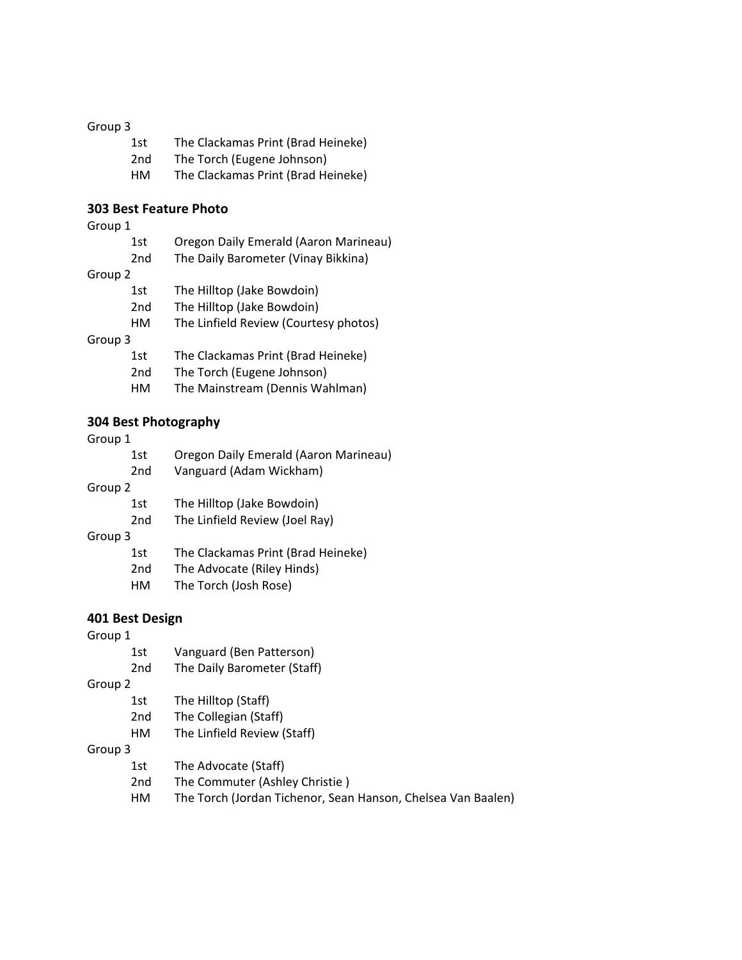# Group 3

| 1st. | The Clackamas Print (Brad Heineke) |
|------|------------------------------------|
| 2nd  | The Torch (Eugene Johnson)         |
| нм   | The Clackamas Print (Brad Heineke) |

# **303 Best Feature Photo**

## Group 1

|         | 1st             | Oregon Daily Emerald (Aaron Marineau) |  |
|---------|-----------------|---------------------------------------|--|
|         | 2 <sub>nd</sub> | The Daily Barometer (Vinay Bikkina)   |  |
| Group 2 |                 |                                       |  |
|         | 1st             | The Hilltop (Jake Bowdoin)            |  |
|         | 2 <sub>nd</sub> | The Hilltop (Jake Bowdoin)            |  |
|         | НΜ              | The Linfield Review (Courtesy photos) |  |
| Group 3 |                 |                                       |  |
|         | 1st             | The Clackamas Print (Brad Heineke)    |  |
|         | 2 <sub>nd</sub> | The Torch (Eugene Johnson)            |  |
|         | нм              | The Mainstream (Dennis Wahlman)       |  |
|         |                 |                                       |  |

# **304 Best Photography**

# Group 1

|         | 1st             | Oregon Daily Emerald (Aaron Marineau) |
|---------|-----------------|---------------------------------------|
|         | 2 <sub>nd</sub> | Vanguard (Adam Wickham)               |
| Group 2 |                 |                                       |
|         | 1st             | The Hilltop (Jake Bowdoin)            |
|         | 2 <sub>nd</sub> | The Linfield Review (Joel Ray)        |
| Group 3 |                 |                                       |
|         | 1st             | The Clackamas Print (Brad Heineke)    |
|         | 2 <sub>nd</sub> | The Advocate (Riley Hinds)            |
|         | HМ              | The Torch (Josh Rose)                 |
|         |                 |                                       |

#### **401 Best Design**

| Group 1 |                 |                                                              |
|---------|-----------------|--------------------------------------------------------------|
|         | 1st             | Vanguard (Ben Patterson)                                     |
|         | 2 <sub>nd</sub> | The Daily Barometer (Staff)                                  |
| Group 2 |                 |                                                              |
|         | 1st             | The Hilltop (Staff)                                          |
|         | 2 <sub>nd</sub> | The Collegian (Staff)                                        |
|         | HМ              | The Linfield Review (Staff)                                  |
| Group 3 |                 |                                                              |
|         | 1st             | The Advocate (Staff)                                         |
|         | 2 <sub>nd</sub> | The Commuter (Ashley Christie)                               |
|         | HМ              | The Torch (Jordan Tichenor, Sean Hanson, Chelsea Van Baalen) |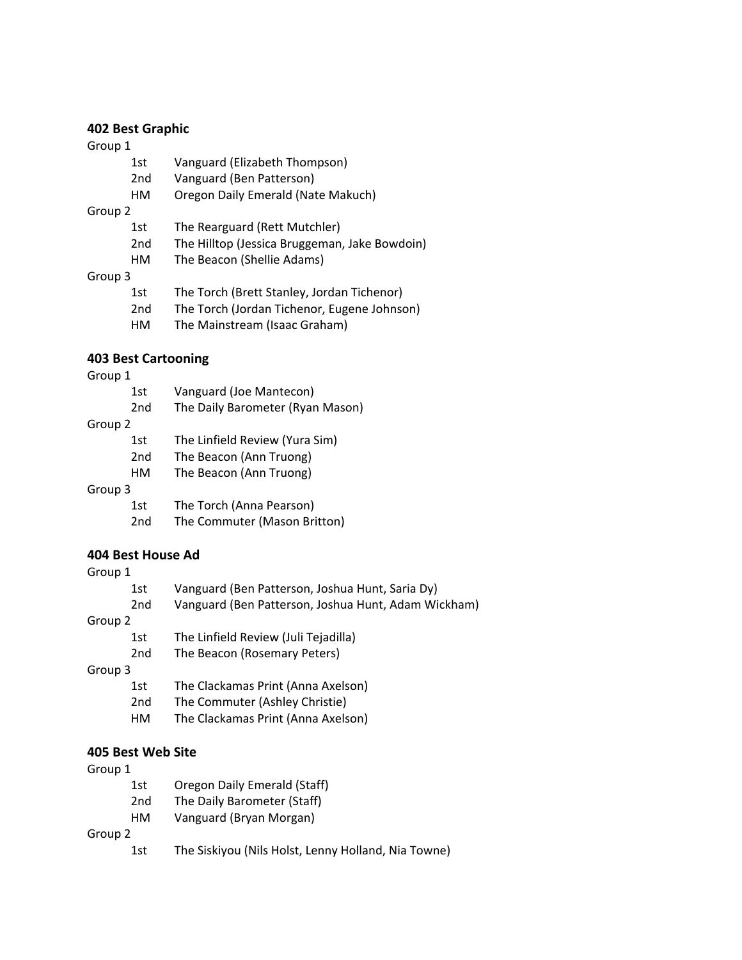# **402 Best Graphic**

#### Group 1

|         | 1st             | Vanguard (Elizabeth Thompson)                 |
|---------|-----------------|-----------------------------------------------|
|         | 2 <sub>nd</sub> | Vanguard (Ben Patterson)                      |
|         | HМ              | Oregon Daily Emerald (Nate Makuch)            |
| Group 2 |                 |                                               |
|         | 1st             | The Rearguard (Rett Mutchler)                 |
|         | 2 <sub>nd</sub> | The Hilltop (Jessica Bruggeman, Jake Bowdoin) |
|         | HМ              | The Beacon (Shellie Adams)                    |

## Group 3

| ------- |      |                                             |
|---------|------|---------------------------------------------|
|         | 1st. | The Torch (Brett Stanley, Jordan Tichenor)  |
|         | 2nd  | The Torch (Jordan Tichenor, Eugene Johnson) |
|         | нм   | The Mainstream (Isaac Graham)               |
|         |      |                                             |

## **403 Best Cartooning**

#### Group 1

|         | 1st             | Vanguard (Joe Mantecon)          |
|---------|-----------------|----------------------------------|
|         | 2 <sub>nd</sub> | The Daily Barometer (Ryan Mason) |
| Group 2 |                 |                                  |
|         | 1st             | The Linfield Review (Yura Sim)   |
|         | 2 <sub>nd</sub> | The Beacon (Ann Truong)          |
|         | НΜ              | The Beacon (Ann Truong)          |
| Group 3 |                 |                                  |
|         | 1st             | The Torch (Anna Pearson)         |
|         | 2 <sub>nd</sub> | The Commuter (Mason Britton)     |

## **404 Best House Ad**

| Group 1 |                 |                                                     |
|---------|-----------------|-----------------------------------------------------|
|         | 1st             | Vanguard (Ben Patterson, Joshua Hunt, Saria Dy)     |
|         | 2 <sub>nd</sub> | Vanguard (Ben Patterson, Joshua Hunt, Adam Wickham) |
| Group 2 |                 |                                                     |
|         | 1st             | The Linfield Review (Juli Tejadilla)                |
|         | 2 <sub>nd</sub> | The Beacon (Rosemary Peters)                        |
| Group 3 |                 |                                                     |
|         | 1st             | The Clackamas Print (Anna Axelson)                  |
|         | 2 <sub>nd</sub> | The Commuter (Ashley Christie)                      |
|         |                 |                                                     |

## HM The Clackamas Print (Anna Axelson)

## **405 Best Web Site**

#### Group 1

- 1st Oregon Daily Emerald (Staff)
- 2nd The Daily Barometer (Staff)
- HM Vanguard (Bryan Morgan)

## Group 2

1st The Siskiyou (Nils Holst, Lenny Holland, Nia Towne)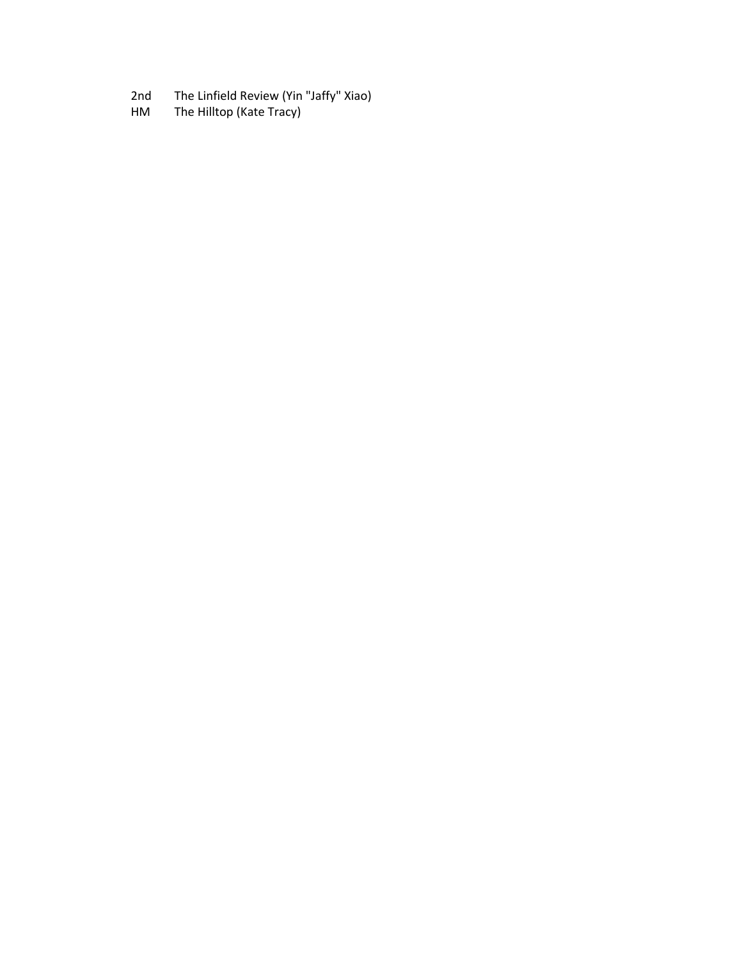- 2nd The Linfield Review (Yin "Jaffy" Xiao)<br>HM The Hilltop (Kate Tracy)
- The Hilltop (Kate Tracy)